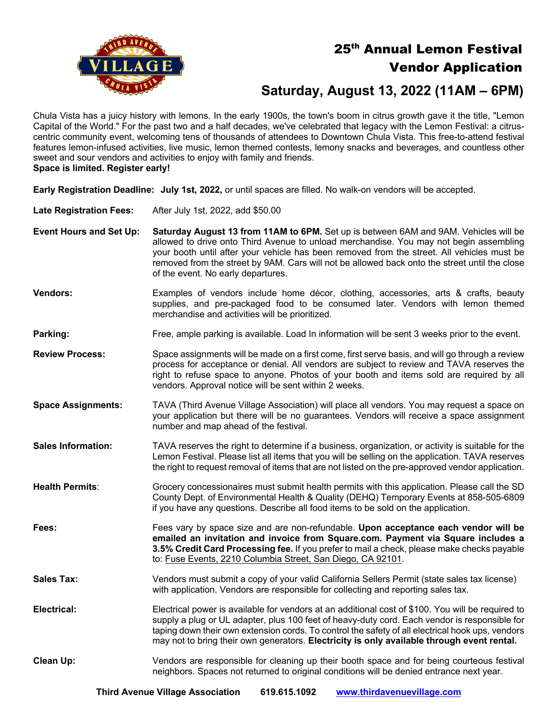

## 25th Annual Lemon Festival Vendor Application

## **Saturday, August 13, 2022 (11AM – 6PM)** Saturday, August 13,

chula Vista has a juicy history with lemons. In the early 1900s, the town's boom in citrus growth gave it the title, "Lemon Capital of the World." For the past two and a half decades, we've celebrated that legacy with the Lemon Festival: a citruscentric community event, welcoming tens of thousands of attendees to Downtown Chula Vista. This free-to-attend festival features lemon-infused activities, live music, lemon themed contests, lemony snacks and beverages, and countless other sweet and sour vendors and activities to enjoy with family and friends. **Space is limited. Register early!**

**Early Registration Deadline: July 1st, 2022,** or until spaces are filled. No walk-on vendors will be accepted.

- **Late Registration Fees:** After July 1st, 2022, add \$50.00
- **Event Hours and Set Up: Saturday August 13 from 11AM to 6PM.** Set up is between 6AM and 9AM. Vehicles will be allowed to drive onto Third Avenue to unload merchandise. You may not begin assembling your booth until after your vehicle has been removed from the street. All vehicles must be removed from the street by 9AM. Cars will not be allowed back onto the street until the close of the event. No early departures.
- **Vendors:** Examples of vendors include home décor, clothing, accessories, arts & crafts, beauty supplies, and pre-packaged food to be consumed later. Vendors with lemon themed merchandise and activities will be prioritized.

**Parking:** Free, ample parking is available. Load In information will be sent 3 weeks prior to the event.

- **Review Process:** Space assignments will be made on a first come, first serve basis, and will go through a review process for acceptance or denial. All vendors are subject to review and TAVA reserves the right to refuse space to anyone. Photos of your booth and items sold are required by all vendors. Approval notice will be sent within 2 weeks.
- **Space Assignments:** TAVA (Third Avenue Village Association) will place all vendors. You may request a space on your application but there will be no guarantees. Vendors will receive a space assignment number and map ahead of the festival.
- **Sales Information:** TAVA reserves the right to determine if a business, organization, or activity is suitable for the Lemon Festival. Please list all items that you will be selling on the application. TAVA reserves the right to request removal of items that are not listed on the pre-approved vendor application.
- **Health Permits**: Grocery concessionaires must submit health permits with this application. Please call the SD County Dept. of Environmental Health & Quality (DEHQ) Temporary Events at 858-505-6809 if you have any questions. Describe all food items to be sold on the application.
- **Fees:** Fees vary by space size and are non-refundable. **Upon acceptance each vendor will be emailed an invitation and invoice from Square.com. Payment via Square includes a 3.5% Credit Card Processing fee.** If you prefer to mail a check, please make checks payable to: Fuse Events, 2210 Columbia Street, San Diego, CA 92101.
- **Sales Tax:** Vendors must submit a copy of your valid California Sellers Permit (state sales tax license) with application. Vendors are responsible for collecting and reporting sales tax.
- **Electrical:** Electrical power is available for vendors at an additional cost of \$100. You will be required to supply a plug or UL adapter, plus 100 feet of heavy-duty cord. Each vendor is responsible for taping down their own extension cords. To control the safety of all electrical hook ups, vendors may not to bring their own generators. **Electricity is only available through event rental.**
- **Clean Up:** Vendors are responsible for cleaning up their booth space and for being courteous festival neighbors. Spaces not returned to original conditions will be denied entrance next year.